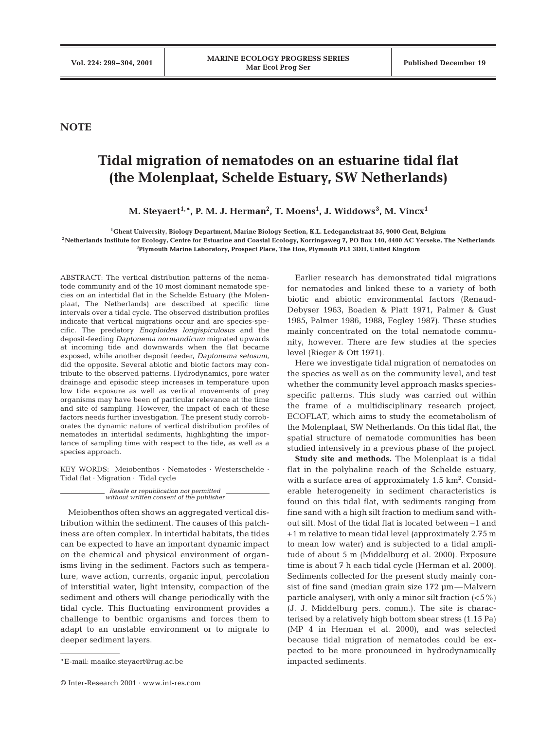## **NOTE**

## **Tidal migration of nematodes on an estuarine tidal flat (the Molenplaat, Schelde Estuary, SW Netherlands)**

 $\mathbf{M}.$  Steyaert $^{1,*}$ , P. M. J. Herman $^2$ , T. Moens $^1$ , J. Widdows $^3$ , M. Vincx $^1$ 

**1Ghent University, Biology Department, Marine Biology Section, K.L. Ledeganckstraat 35, 9000 Gent, Belgium 2Netherlands Institute for Ecology, Centre for Estuarine and Coastal Ecology, Korringaweg 7, PO Box 140, 4400 AC Yerseke, The Netherlands 3 Plymouth Marine Laboratory, Prospect Place, The Hoe, Plymouth PL1 3DH, United Kingdom**

ABSTRACT: The vertical distribution patterns of the nematode community and of the 10 most dominant nematode species on an intertidal flat in the Schelde Estuary (the Molenplaat, The Netherlands) are described at specific time intervals over a tidal cycle. The observed distribution profiles indicate that vertical migrations occur and are species-specific. The predatory *Enoploides longispiculosus* and the deposit-feeding *Daptonema normandicum* migrated upwards at incoming tide and downwards when the flat became exposed, while another deposit feeder, *Daptonema setosum*, did the opposite. Several abiotic and biotic factors may contribute to the observed patterns. Hydrodynamics, pore water drainage and episodic steep increases in temperature upon low tide exposure as well as vertical movements of prey organisms may have been of particular relevance at the time and site of sampling. However, the impact of each of these factors needs further investigation. The present study corroborates the dynamic nature of vertical distribution profiles of nematodes in intertidal sediments, highlighting the importance of sampling time with respect to the tide, as well as a species approach.

KEY WORDS: Meiobenthos · Nematodes · Westerschelde · Tidal flat · Migration · Tidal cycle

> *Resale or republication not permitted without written consent of the publisher*

Meiobenthos often shows an aggregated vertical distribution within the sediment. The causes of this patchiness are often complex. In intertidal habitats, the tides can be expected to have an important dynamic impact on the chemical and physical environment of organisms living in the sediment. Factors such as temperature, wave action, currents, organic input, percolation of interstitial water, light intensity, compaction of the sediment and others will change periodically with the tidal cycle. This fluctuating environment provides a challenge to benthic organisms and forces them to adapt to an unstable environment or to migrate to deeper sediment layers.

Earlier research has demonstrated tidal migrations for nematodes and linked these to a variety of both biotic and abiotic environmental factors (Renaud-Debyser 1963, Boaden & Platt 1971, Palmer & Gust 1985, Palmer 1986, 1988, Fegley 1987). These studies mainly concentrated on the total nematode community, however. There are few studies at the species level (Rieger & Ott 1971).

Here we investigate tidal migration of nematodes on the species as well as on the community level, and test whether the community level approach masks speciesspecific patterns. This study was carried out within the frame of a multidisciplinary research project, ECOFLAT, which aims to study the ecometabolism of the Molenplaat, SW Netherlands. On this tidal flat, the spatial structure of nematode communities has been studied intensively in a previous phase of the project.

**Study site and methods.** The Molenplaat is a tidal flat in the polyhaline reach of the Schelde estuary, with a surface area of approximately  $1.5 \text{ km}^2$ . Considerable heterogeneity in sediment characteristics is found on this tidal flat, with sediments ranging from fine sand with a high silt fraction to medium sand without silt. Most of the tidal flat is located between –1 and +1 m relative to mean tidal level (approximately 2.75 m to mean low water) and is subjected to a tidal amplitude of about 5 m (Middelburg et al. 2000). Exposure time is about 7 h each tidal cycle (Herman et al. 2000). Sediments collected for the present study mainly consist of fine sand (median grain size 172 µm—Malvern particle analyser), with only a minor silt fraction  $(<5\%)$ (J. J. Middelburg pers. comm.). The site is characterised by a relatively high bottom shear stress (1.15 Pa) (MP 4 in Herman et al. 2000), and was selected because tidal migration of nematodes could be expected to be more pronounced in hydrodynamically impacted sediments.

<sup>\*</sup>E-mail: maaike.steyaert@rug.ac.be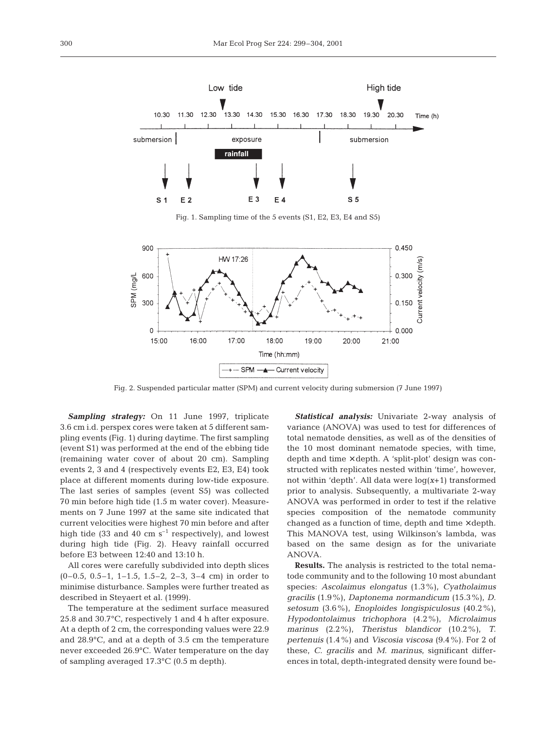

Fig. 1. Sampling time of the 5 events (S1, E2, E3, E4 and S5)



Fig. 2. Suspended particular matter (SPM) and current velocity during submersion (7 June 1997)

*Sampling strategy:* On 11 June 1997, triplicate 3.6 cm i.d. perspex cores were taken at 5 different sampling events (Fig. 1) during daytime. The first sampling (event S1) was performed at the end of the ebbing tide (remaining water cover of about 20 cm). Sampling events 2, 3 and 4 (respectively events E2, E3, E4) took place at different moments during low-tide exposure. The last series of samples (event S5) was collected 70 min before high tide (1.5 m water cover). Measurements on 7 June 1997 at the same site indicated that current velocities were highest 70 min before and after high tide (33 and 40 cm  $s^{-1}$  respectively), and lowest during high tide (Fig. 2). Heavy rainfall occurred before E3 between 12:40 and 13:10 h.

All cores were carefully subdivided into depth slices (0–0.5, 0.5–1, 1–1.5, 1.5–2, 2–3, 3–4 cm) in order to minimise disturbance. Samples were further treated as described in Steyaert et al. (1999).

The temperature at the sediment surface measured 25.8 and 30.7°C, respectively 1 and 4 h after exposure. At a depth of 2 cm, the corresponding values were 22.9 and 28.9°C, and at a depth of 3.5 cm the temperature never exceeded 26.9°C. Water temperature on the day of sampling averaged 17.3°C (0.5 m depth).

*Statistical analysis:* Univariate 2-way analysis of variance (ANOVA) was used to test for differences of total nematode densities, as well as of the densities of the 10 most dominant nematode species, with time, depth and time × depth. A 'split-plot' design was constructed with replicates nested within 'time', however, not within 'depth'. All data were log(*x*+1) transformed prior to analysis. Subsequently, a multivariate 2-way ANOVA was performed in order to test if the relative species composition of the nematode community changed as a function of time, depth and time  $\times$  depth. This MANOVA test, using Wilkinson's lambda, was based on the same design as for the univariate ANOVA.

**Results.** The analysis is restricted to the total nematode community and to the following 10 most abundant species: *Ascolaimus elongatus* (1.3%), *Cyatholaimus gracilis* (1.9%), *Daptonema normandicum* (15.3%), *D. setosum* (3.6%), *Enoploides longispiculosus* (40.2%), *Hypodontolaimus trichophora* (4.2%), *Microlaimus marinus* (2.2%), *Theristus blandicor* (10.2%), *T. pertenuis* (1.4%) and *Viscosia viscosa* (9.4%). For 2 of these, *C. gracilis* and *M. marinus*, significant differences in total, depth-integrated density were found be-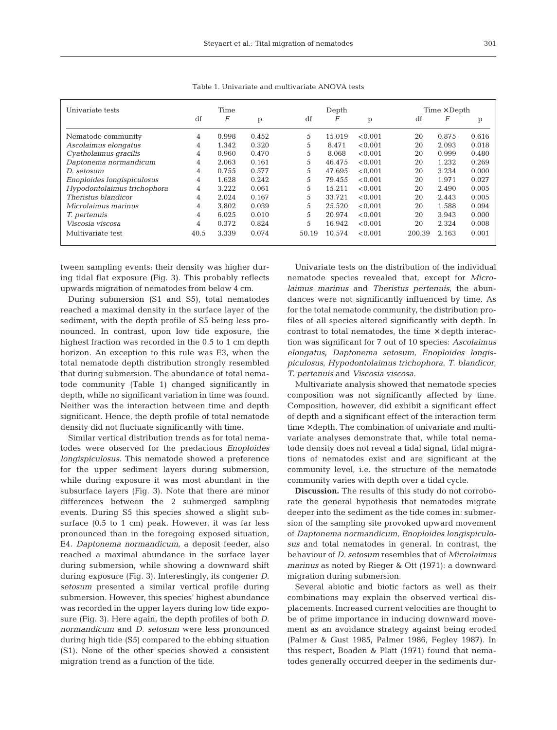| Univariate tests            | Time           |       |       |       | Depth  |         |        | $Time \times Depth$ |       |  |
|-----------------------------|----------------|-------|-------|-------|--------|---------|--------|---------------------|-------|--|
|                             | df             | F     | p     | df    | F      | p       | df     | $\boldsymbol{F}$    | р     |  |
| Nematode community          | 4              | 0.998 | 0.452 | 5     | 15.019 | < 0.001 | 20     | 0.875               | 0.616 |  |
| Ascolaimus elongatus        | 4              | 1.342 | 0.320 | 5     | 8.471  | < 0.001 | 20     | 2.093               | 0.018 |  |
| Cyatholaimus gracilis       | 4              | 0.960 | 0.470 | 5     | 8.068  | < 0.001 | 20     | 0.999               | 0.480 |  |
| Daptonema normandicum       | 4              | 2.063 | 0.161 | 5     | 46.475 | < 0.001 | 20     | 1.232               | 0.269 |  |
| D. setosum                  | 4              | 0.755 | 0.577 | 5     | 47.695 | < 0.001 | 20     | 3.234               | 0.000 |  |
| Enoploides longispiculosus  | $\overline{4}$ | 1.628 | 0.242 | 5     | 79.455 | < 0.001 | 20     | 1.971               | 0.027 |  |
| Hypodontolaimus trichophora | $\overline{4}$ | 3.222 | 0.061 | 5     | 15.211 | < 0.001 | 20     | 2.490               | 0.005 |  |
| Theristus blandicor         | 4              | 2.024 | 0.167 | 5     | 33.721 | < 0.001 | 20     | 2.443               | 0.005 |  |
| Microlaimus marinus         | 4              | 3.802 | 0.039 | 5     | 25.520 | < 0.001 | 20     | 1.588               | 0.094 |  |
| T. pertenuis                | 4              | 6.025 | 0.010 | 5     | 20.974 | < 0.001 | 20     | 3.943               | 0.000 |  |
| Viscosia viscosa            | 4              | 0.372 | 0.824 | 5     | 16.942 | < 0.001 | 20     | 2.324               | 0.008 |  |
| Multivariate test           | 40.5           | 3.339 | 0.074 | 50.19 | 10.574 | < 0.001 | 200.39 | 2.163               | 0.001 |  |

Table 1. Univariate and multivariate ANOVA tests

tween sampling events; their density was higher during tidal flat exposure (Fig. 3). This probably reflects upwards migration of nematodes from below 4 cm.

During submersion (S1 and S5), total nematodes reached a maximal density in the surface layer of the sediment, with the depth profile of S5 being less pronounced. In contrast, upon low tide exposure, the highest fraction was recorded in the 0.5 to 1 cm depth horizon. An exception to this rule was E3, when the total nematode depth distribution strongly resembled that during submersion. The abundance of total nematode community (Table 1) changed significantly in depth, while no significant variation in time was found. Neither was the interaction between time and depth significant. Hence, the depth profile of total nematode density did not fluctuate significantly with time.

Similar vertical distribution trends as for total nematodes were observed for the predacious *Enoploides longispiculosus.* This nematode showed a preference for the upper sediment layers during submersion, while during exposure it was most abundant in the subsurface layers (Fig. 3). Note that there are minor differences between the 2 submerged sampling events. During S5 this species showed a slight subsurface (0.5 to 1 cm) peak. However, it was far less pronounced than in the foregoing exposed situation, E4. *Daptonema normandicum*, a deposit feeder, also reached a maximal abundance in the surface layer during submersion, while showing a downward shift during exposure (Fig. 3). Interestingly, its congener *D. setosum* presented a similar vertical profile during submersion. However, this species' highest abundance was recorded in the upper layers during low tide exposure (Fig. 3). Here again, the depth profiles of both *D. normandicum* and *D. setosum* were less pronounced during high tide (S5) compared to the ebbing situation (S1). None of the other species showed a consistent migration trend as a function of the tide.

Univariate tests on the distribution of the individual nematode species revealed that, except for *Microlaimus marinus* and *Theristus pertenuis*, the abundances were not significantly influenced by time. As for the total nematode community, the distribution profiles of all species altered significantly with depth. In contrast to total nematodes, the time  $\times$  depth interaction was significant for 7 out of 10 species: *Ascolaimus elongatus*, *Daptonema setosum*, *Enoploides longispiculosus*, *Hypodontolaimus trichophora*, *T. blandicor*, *T. pertenuis* and *Viscosia viscosa.*

Multivariate analysis showed that nematode species composition was not significantly affected by time. Composition, however, did exhibit a significant effect of depth and a significant effect of the interaction term  $time \times depth$ . The combination of univariate and multivariate analyses demonstrate that, while total nematode density does not reveal a tidal signal, tidal migrations of nematodes exist and are significant at the community level, i.e. the structure of the nematode community varies with depth over a tidal cycle.

**Discussion.** The results of this study do not corroborate the general hypothesis that nematodes migrate deeper into the sediment as the tide comes in: submersion of the sampling site provoked upward movement of *Daptonema normandicum*, *Enoploides longispiculosus* and total nematodes in general. In contrast, the behaviour of *D. setosum* resembles that of *Microlaimus marinus* as noted by Rieger & Ott (1971): a downward migration during submersion.

Several abiotic and biotic factors as well as their combinations may explain the observed vertical displacements. Increased current velocities are thought to be of prime importance in inducing downward movement as an avoidance strategy against being eroded (Palmer & Gust 1985, Palmer 1986, Fegley 1987). In this respect, Boaden & Platt (1971) found that nematodes generally occurred deeper in the sediments dur-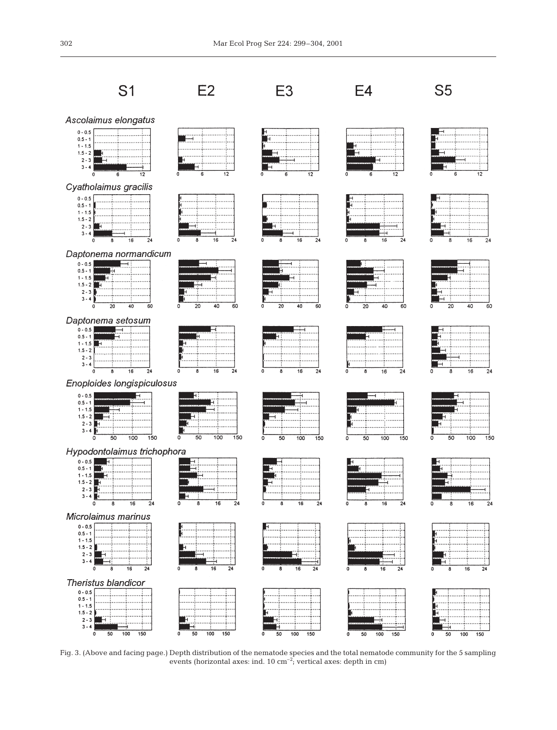

Fig. 3. (Above and facing page.) Depth distribution of the nematode species and the total nematode community for the 5 sampling events (horizontal axes: ind.  $10 \text{ cm}^{-2}$ ; vertical axes: depth in cm)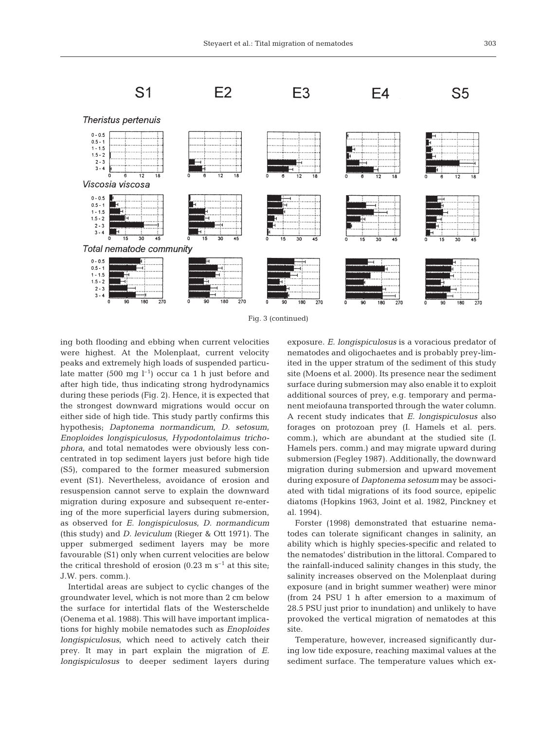

Fig. 3 (continued)

ing both flooding and ebbing when current velocities were highest. At the Molenplaat, current velocity peaks and extremely high loads of suspended particulate matter (500 mg  $l^{-1}$ ) occur ca 1 h just before and after high tide, thus indicating strong hydrodynamics during these periods (Fig. 2). Hence, it is expected that the strongest downward migrations would occur on either side of high tide. This study partly confirms this hypothesis; *Daptonema normandicum*, *D. setosum*, *Enoploides longispiculosus*, *Hypodontolaimus trichophora*, and total nematodes were obviously less concentrated in top sediment layers just before high tide (S5), compared to the former measured submersion event (S1). Nevertheless, avoidance of erosion and resuspension cannot serve to explain the downward migration during exposure and subsequent re-entering of the more superficial layers during submersion, as observed for *E. longispiculosus*, *D. normandicum* (this study) and *D. leviculum* (Rieger & Ott 1971). The upper submerged sediment layers may be more favourable (S1) only when current velocities are below the critical threshold of erosion (0.23 m  $s^{-1}$  at this site; J.W. pers. comm.).

Intertidal areas are subject to cyclic changes of the groundwater level, which is not more than 2 cm below the surface for intertidal flats of the Westerschelde (Oenema et al. 1988). This will have important implications for highly mobile nematodes such as *Enoploides longispiculosus*, which need to actively catch their prey. It may in part explain the migration of *E. longispiculosus* to deeper sediment layers during exposure. *E. longispiculosus* is a voracious predator of nematodes and oligochaetes and is probably prey-limited in the upper stratum of the sediment of this study site (Moens et al. 2000). Its presence near the sediment surface during submersion may also enable it to exploit additional sources of prey, e.g. temporary and permanent meiofauna transported through the water column. A recent study indicates that *E. longispiculosus* also forages on protozoan prey (I. Hamels et al. pers. comm.), which are abundant at the studied site (I. Hamels pers. comm.) and may migrate upward during submersion (Fegley 1987). Additionally, the downward migration during submersion and upward movement during exposure of *Daptonema setosum* may be associated with tidal migrations of its food source, epipelic diatoms (Hopkins 1963, Joint et al. 1982, Pinckney et al. 1994).

Forster (1998) demonstrated that estuarine nematodes can tolerate significant changes in salinity, an ability which is highly species-specific and related to the nematodes' distribution in the littoral. Compared to the rainfall-induced salinity changes in this study, the salinity increases observed on the Molenplaat during exposure (and in bright summer weather) were minor (from 24 PSU 1 h after emersion to a maximum of 28.5 PSU just prior to inundation) and unlikely to have provoked the vertical migration of nematodes at this site.

Temperature, however, increased significantly during low tide exposure, reaching maximal values at the sediment surface. The temperature values which ex